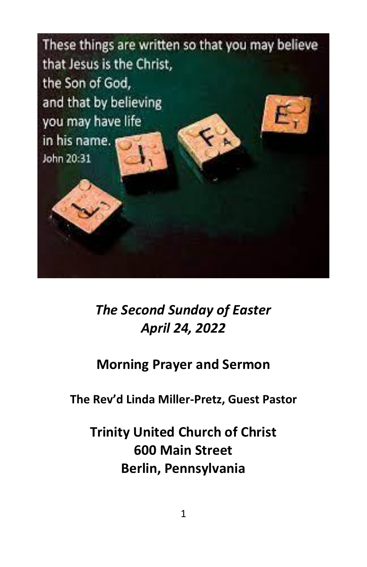

*The Second Sunday of Easter April 24, 2022*

# **Morning Prayer and Sermon**

**The Rev'd Linda Miller-Pretz, Guest Pastor**

**Trinity United Church of Christ 600 Main Street Berlin, Pennsylvania**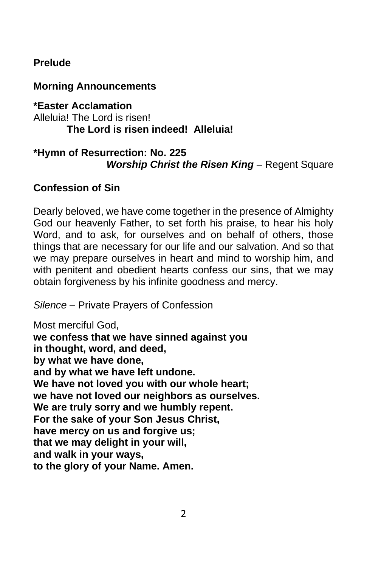# **Prelude**

# **Morning Announcements**

#### **\*Easter Acclamation** Alleluia! The Lord is risen! **The Lord is risen indeed! Alleluia!**

# **\*Hymn of Resurrection: No. 225** *Worship Christ the Risen King* – Regent Square

# **Confession of Sin**

Dearly beloved, we have come together in the presence of Almighty God our heavenly Father, to set forth his praise, to hear his holy Word, and to ask, for ourselves and on behalf of others, those things that are necessary for our life and our salvation. And so that we may prepare ourselves in heart and mind to worship him, and with penitent and obedient hearts confess our sins, that we may obtain forgiveness by his infinite goodness and mercy.

*Silence* – Private Prayers of Confession

Most merciful God, **we confess that we have sinned against you in thought, word, and deed, by what we have done, and by what we have left undone. We have not loved you with our whole heart; we have not loved our neighbors as ourselves. We are truly sorry and we humbly repent. For the sake of your Son Jesus Christ, have mercy on us and forgive us; that we may delight in your will, and walk in your ways, to the glory of your Name. Amen.**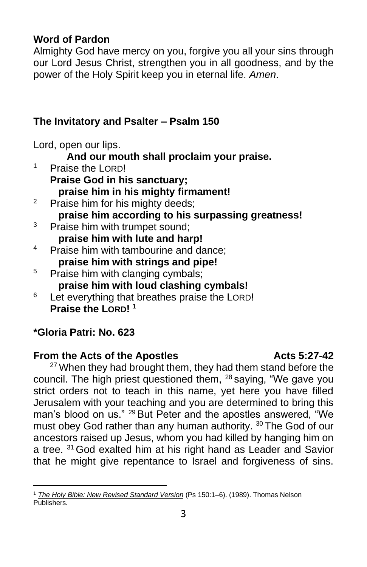# **Word of Pardon**

Almighty God have mercy on you, forgive you all your sins through our Lord Jesus Christ, strengthen you in all goodness, and by the power of the Holy Spirit keep you in eternal life. *Amen*.

# **The Invitatory and Psalter – Psalm 150**

Lord, open our lips.

**And our mouth shall proclaim your praise.**

- <sup>1</sup> Praise the LORD! **Praise God in his sanctuary; praise him in his mighty firmament!** <sup>2</sup> Praise him for his mighty deeds; **praise him according to his surpassing greatness!**  <sup>3</sup> Praise him with trumpet sound; **praise him with lute and harp!**  <sup>4</sup> Praise him with tambourine and dance: **praise him with strings and pipe!**  <sup>5</sup> Praise him with clanging cymbals; **praise him with loud clashing cymbals!**
- $6$  Let everything that breathes praise the LORD! **Praise the LORD! <sup>1</sup>**

# **\*Gloria Patri: No. 623**

### **From the Acts of the Apostles Acts 5:27-42**

 $27$  When they had brought them, they had them stand before the council. The high priest questioned them, <sup>28</sup> saying, "We gave you strict orders not to teach in this name, yet here you have filled Jerusalem with your teaching and you are determined to bring this man's blood on us." <sup>29</sup> But Peter and the apostles answered, "We must obey God rather than any human authority. <sup>30</sup> The God of our ancestors raised up Jesus, whom you had killed by hanging him on a tree. <sup>31</sup> God exalted him at his right hand as Leader and Savior that he might give repentance to Israel and forgiveness of sins.

<sup>1</sup> *[The Holy Bible: New Revised Standard Version](https://ref.ly/logosres/nrsv?ref=BibleNRSV.Ps150.1&off=38&ctx=urpassing+Greatness%0a~1+Praise+the+Lord!+%0a)* (Ps 150:1–6). (1989). Thomas Nelson Publishers.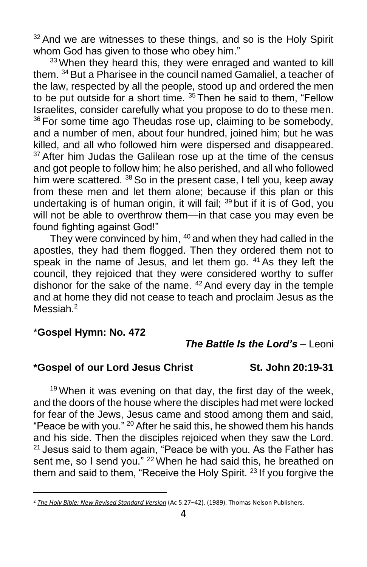$32$  And we are witnesses to these things, and so is the Holy Spirit whom God has given to those who obey him."

<sup>33</sup> When they heard this, they were enraged and wanted to kill them. <sup>34</sup> But a Pharisee in the council named Gamaliel, a teacher of the law, respected by all the people, stood up and ordered the men to be put outside for a short time.  $35$  Then he said to them, "Fellow Israelites, consider carefully what you propose to do to these men. <sup>36</sup> For some time ago Theudas rose up, claiming to be somebody, and a number of men, about four hundred, joined him; but he was killed, and all who followed him were dispersed and disappeared.  $37$  After him Judas the Galilean rose up at the time of the census and got people to follow him; he also perished, and all who followed him were scattered. <sup>38</sup> So in the present case, I tell you, keep away from these men and let them alone; because if this plan or this undertaking is of human origin, it will fail;  $39$  but if it is of God, you will not be able to overthrow them—in that case you may even be found fighting against God!"

They were convinced by him, <sup>40</sup> and when they had called in the apostles, they had them flogged. Then they ordered them not to speak in the name of Jesus, and let them go. <sup>41</sup> As they left the council, they rejoiced that they were considered worthy to suffer dishonor for the sake of the name.  $42$  And every day in the temple and at home they did not cease to teach and proclaim Jesus as the Messiah.<sup>2</sup>

#### \***Gospel Hymn: No. 472**

#### *The Battle Is the Lord's* – Leoni

#### **\*Gospel of our Lord Jesus Christ St. John 20:19-31**

 $19$  When it was evening on that day, the first day of the week, and the doors of the house where the disciples had met were locked for fear of the Jews, Jesus came and stood among them and said, "Peace be with you." <sup>20</sup> After he said this, he showed them his hands and his side. Then the disciples rejoiced when they saw the Lord.  $21$  Jesus said to them again, "Peace be with you. As the Father has sent me, so I send you." <sup>22</sup> When he had said this, he breathed on them and said to them, "Receive the Holy Spirit.<sup>23</sup> If you forgive the

<sup>2</sup> *[The Holy Bible: New Revised Standard Version](https://ref.ly/logosres/nrsv?ref=BibleNRSV.Ac5.27&off=0&ctx=ned+by+the+people.+%0a~27%C2%A0%E2%80%A2When+they+had+br)* (Ac 5:27–42). (1989). Thomas Nelson Publishers.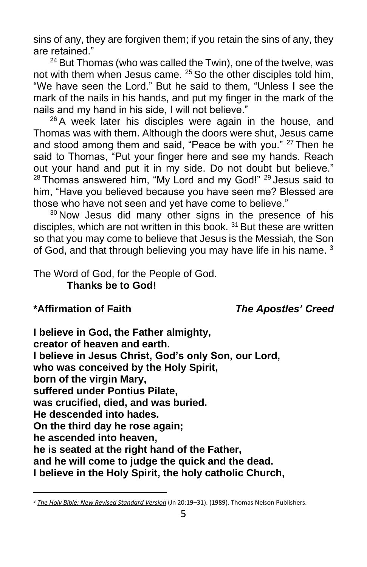sins of any, they are forgiven them; if you retain the sins of any, they are retained."

<sup>24</sup> But Thomas (who was called the Twin), one of the twelve, was not with them when Jesus came. <sup>25</sup> So the other disciples told him, "We have seen the Lord." But he said to them, "Unless I see the mark of the nails in his hands, and put my finger in the mark of the nails and my hand in his side, I will not believe."

 $26$  A week later his disciples were again in the house, and Thomas was with them. Although the doors were shut, Jesus came and stood among them and said, "Peace be with you." <sup>27</sup> Then he said to Thomas, "Put your finger here and see my hands. Reach out your hand and put it in my side. Do not doubt but believe."  $28$  Thomas answered him, "My Lord and my God!"  $29$  Jesus said to him, "Have you believed because you have seen me? Blessed are those who have not seen and yet have come to believe."

 $30$  Now Jesus did many other signs in the presence of his disciples, which are not written in this book.<sup>31</sup> But these are written so that you may come to believe that Jesus is the Messiah, the Son of God, and that through believing you may have life in his name.<sup>3</sup>

The Word of God, for the People of God. **Thanks be to God!**

# **\*Affirmation of Faith** *The Apostles' Creed*

**I believe in God, the Father almighty, creator of heaven and earth. I believe in Jesus Christ, God's only Son, our Lord, who was conceived by the Holy Spirit, born of the virgin Mary, suffered under Pontius Pilate, was crucified, died, and was buried. He descended into hades. On the third day he rose again; he ascended into heaven, he is seated at the right hand of the Father, and he will come to judge the quick and the dead. I believe in the Holy Spirit, the holy catholic Church,**

<sup>3</sup> *[The Holy Bible: New Revised Standard Version](https://ref.ly/logosres/nrsv?ref=BibleNRSV.Jn20.19&off=57&ctx=:36%E2%80%9343%3b+1+Cor+15:5)%0a~19%C2%A0%E2%80%A2When+it+was+even)* (Jn 20:19–31). (1989). Thomas Nelson Publishers.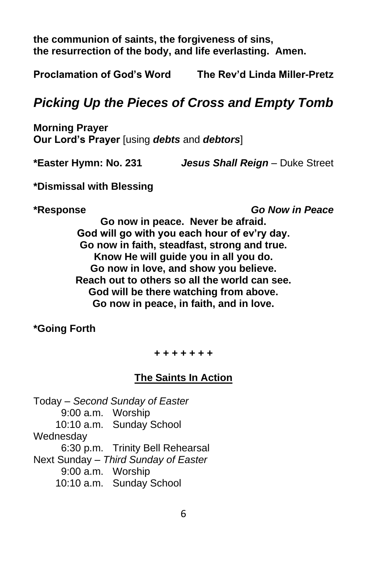**the communion of saints, the forgiveness of sins, the resurrection of the body, and life everlasting. Amen.**

**Proclamation of God's Word The Rev'd Linda Miller-Pretz**

# *Picking Up the Pieces of Cross and Empty Tomb*

**Morning Prayer Our Lord's Prayer** [using *debts* and *debtors*]

**\*Easter Hymn: No. 231** *Jesus Shall Reign* – Duke Street

**\*Dismissal with Blessing**

**\*Response** *Go Now in Peace*

**Go now in peace. Never be afraid. God will go with you each hour of ev'ry day. Go now in faith, steadfast, strong and true. Know He will guide you in all you do. Go now in love, and show you believe. Reach out to others so all the world can see. God will be there watching from above. Go now in peace, in faith, and in love.**

**\*Going Forth**

**+ + + + + + +**

### **The Saints In Action**

Today – *Second Sunday of Easter* 9:00 a.m. Worship 10:10 a.m. Sunday School Wednesday 6:30 p.m. Trinity Bell Rehearsal Next Sunday – *Third Sunday of Easter* 9:00 a.m. Worship 10:10 a.m. Sunday School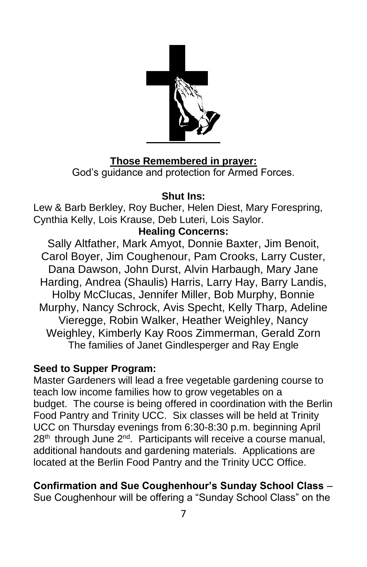

# **Those Remembered in prayer:**

God's guidance and protection for Armed Forces.

# **Shut Ins:**

Lew & Barb Berkley, Roy Bucher, Helen Diest, Mary Forespring, Cynthia Kelly, Lois Krause, Deb Luteri, Lois Saylor.

# **Healing Concerns:**

Sally Altfather, Mark Amyot, Donnie Baxter, Jim Benoit, Carol Boyer, Jim Coughenour, Pam Crooks, Larry Custer, Dana Dawson, John Durst, Alvin Harbaugh, Mary Jane Harding, Andrea (Shaulis) Harris, Larry Hay, Barry Landis, Holby McClucas, Jennifer Miller, Bob Murphy, Bonnie Murphy, Nancy Schrock, Avis Specht, Kelly Tharp, Adeline Vieregge, Robin Walker, Heather Weighley, Nancy Weighley, Kimberly Kay Roos Zimmerman, Gerald Zorn The families of Janet Gindlesperger and Ray Engle

# **Seed to Supper Program:**

Master Gardeners will lead a free vegetable gardening course to teach low income families how to grow vegetables on a budget. The course is being offered in coordination with the Berlin Food Pantry and Trinity UCC. Six classes will be held at Trinity UCC on Thursday evenings from 6:30-8:30 p.m. beginning April  $28<sup>th</sup>$  through June  $2<sup>nd</sup>$ . Participants will receive a course manual, additional handouts and gardening materials. Applications are located at the Berlin Food Pantry and the Trinity UCC Office.

# **Confirmation and Sue Coughenhour's Sunday School Class** –

Sue Coughenhour will be offering a "Sunday School Class" on the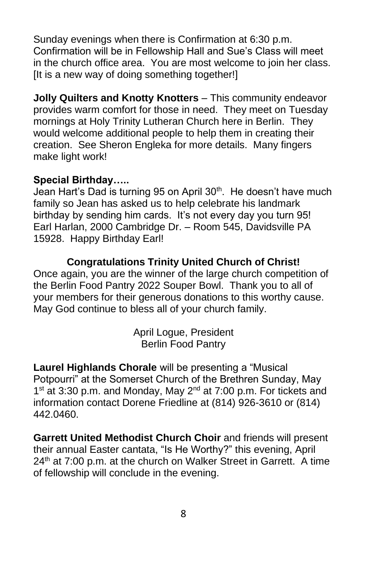Sunday evenings when there is Confirmation at 6:30 p.m. Confirmation will be in Fellowship Hall and Sue's Class will meet in the church office area. You are most welcome to join her class. [It is a new way of doing something together!]

**Jolly Quilters and Knotty Knotters** – This community endeavor provides warm comfort for those in need. They meet on Tuesday mornings at Holy Trinity Lutheran Church here in Berlin. They would welcome additional people to help them in creating their creation. See Sheron Engleka for more details. Many fingers make light work!

# **Special Birthday…..**

Jean Hart's Dad is turning 95 on April 30<sup>th</sup>. He doesn't have much family so Jean has asked us to help celebrate his landmark birthday by sending him cards. It's not every day you turn 95! Earl Harlan, 2000 Cambridge Dr. – Room 545, Davidsville PA 15928. Happy Birthday Earl!

# **Congratulations Trinity United Church of Christ!**

Once again, you are the winner of the large church competition of the Berlin Food Pantry 2022 Souper Bowl. Thank you to all of your members for their generous donations to this worthy cause. May God continue to bless all of your church family.

> April Logue, President Berlin Food Pantry

**Laurel Highlands Chorale** will be presenting a "Musical Potpourri" at the Somerset Church of the Brethren Sunday, May 1<sup>st</sup> at 3:30 p.m. and Monday, May 2<sup>nd</sup> at 7:00 p.m. For tickets and information contact Dorene Friedline at (814) 926-3610 or (814) 442.0460.

**Garrett United Methodist Church Choir** and friends will present their annual Easter cantata, "Is He Worthy?" this evening, April 24<sup>th</sup> at 7:00 p.m. at the church on Walker Street in Garrett. A time of fellowship will conclude in the evening.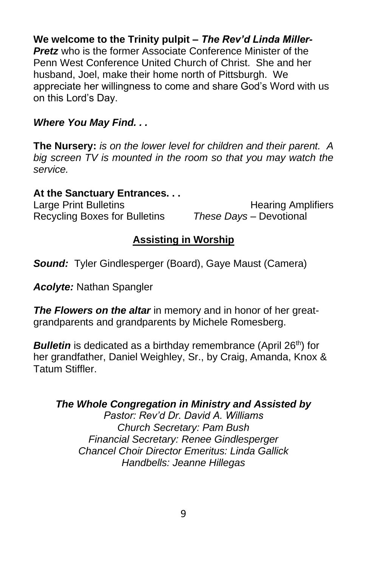# **We welcome to the Trinity pulpit** *– The Rev'd Linda Miller-*

*Pretz* who is the former Associate Conference Minister of the Penn West Conference United Church of Christ. She and her husband, Joel, make their home north of Pittsburgh. We appreciate her willingness to come and share God's Word with us on this Lord's Day.

#### *Where You May Find. . .*

**The Nursery:** *is on the lower level for children and their parent. A big screen TV is mounted in the room so that you may watch the service.*

#### **At the Sanctuary Entrances. . .**

Recycling Boxes for Bulletins *These Days –* Devotional

Large Print Bulletins **Example 20** Hearing Amplifiers

# **Assisting in Worship**

*Sound:* Tyler Gindlesperger (Board), Gaye Maust (Camera)

*Acolyte:* Nathan Spangler

*The Flowers on the altar* in memory and in honor of her greatgrandparents and grandparents by Michele Romesberg.

**Bulletin** is dedicated as a birthday remembrance (April 26<sup>th</sup>) for her grandfather, Daniel Weighley, Sr., by Craig, Amanda, Knox & Tatum Stiffler.

### *The Whole Congregation in Ministry and Assisted by*

*Pastor: Rev'd Dr. David A. Williams Church Secretary: Pam Bush Financial Secretary: Renee Gindlesperger Chancel Choir Director Emeritus: Linda Gallick Handbells: Jeanne Hillegas*